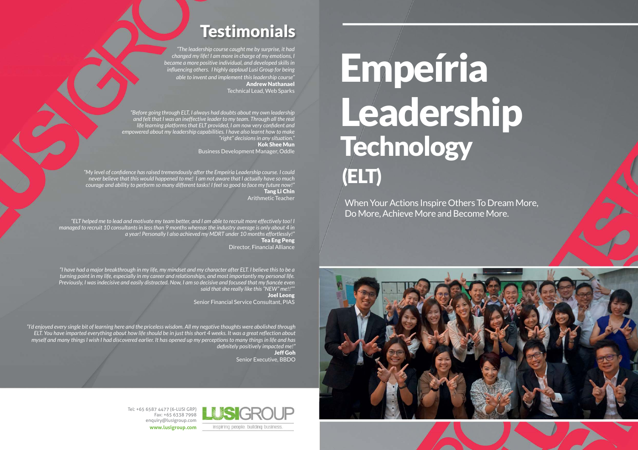Tel: +65 6587 4477 (6-LUSI GRP) Fax: +65 6338 7998 enquiry@lusigroup.com **www.lusigroup.com**

# **Testimonials**

*"The leadership course caught me by surprise, it had changed my life! I am more in charge of my emotions, I became a more positive individual, and developed skills in influencing others. I highly applaud Lusi Group for being able to invent and implement this leadership course"* Andrew Nathanael Technical Lead, Web Sparks

*"My level of confidence has raised tremendously after the Empeíria Leadership course. I could never believe that this would happened to me! I am not aware that I actually have so much courage and ability to perform so many different tasks! I feel so good to face my future now!"* Tang Li Chin Arithmetic Teacher

*"I'd enjoyed every single bit of learning here and the priceless wisdom. All my negative thoughts were abolished through ELT. You have imparted everything about how life should be in just this short 4 weeks. It was a great reflection about myself and many things I wish I had discovered earlier. It has opened up my perceptions to many things in life and has definitely positively impacted me!"* Jeff Goh

Senior Executive, BBDO



# Empeíria Leadership Technology (ELT)

When Your Actions Inspire Others To Dream More, Do More, Achieve More and Become More.



*"ELT helped me to lead and motivate my team better, and I am able to recruit more effectively too! I managed to recruit 10 consultants in less than 9 months whereas the industry average is only about 4 in a year! Personally I also achieved my MDRT under 10 months effortlessly!"* Tea Eng Peng Director, Financial Alliance

*"I have had a major breakthrough in my life, my mindset and my character after ELT. I believe this to be a turning point in my life, especially in my career and relationships, and most importantly my personal life. Previously, I was indecisive and easily distracted. Now, I am so decisive and focused that my fiancée even said that she really like this "NEW" me!!""*

Joel Leong Senior Financial Service Consultant, PIAS

*"Before going through ELT, I always had doubts about my own leadership and felt that I was an ineffective leader to my team. Through all the real life learning platforms that ELT provided, I am now very confident and empowered about my leadership capabilities. I have also learnt how to make "right" decisions in any situation."* Kok Shee Mun

Business Development Manager, Oddle